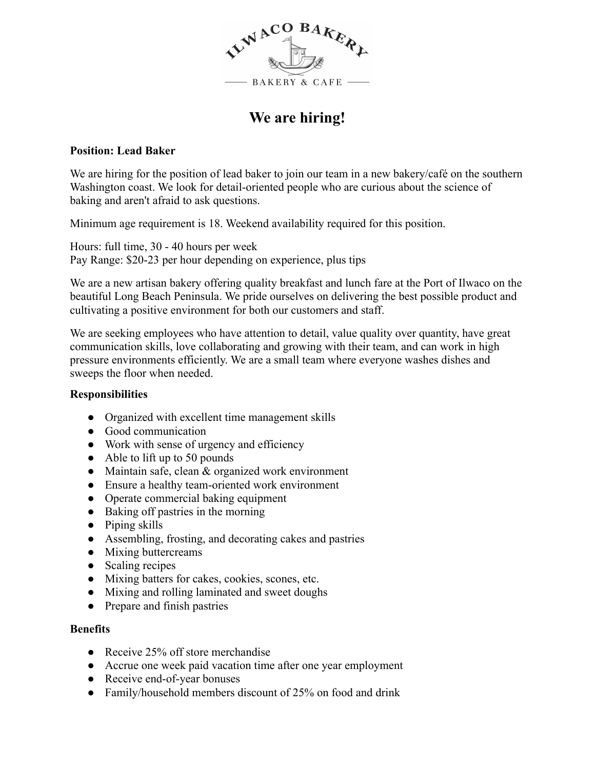

# **We are hiring!**

### **Position: Lead Baker**

We are hiring for the position of lead baker to join our team in a new bakery/café on the southern Washington coast. We look for detail-oriented people who are curious about the science of baking and aren't afraid to ask questions.

Minimum age requirement is 18. Weekend availability required for this position.

Hours: full time, 30 - 40 hours per week Pay Range: \$20-23 per hour depending on experience, plus tips

We are a new artisan bakery offering quality breakfast and lunch fare at the Port of Ilwaco on the beautiful Long Beach Peninsula. We pride ourselves on delivering the best possible product and cultivating a positive environment for both our customers and staff.

We are seeking employees who have attention to detail, value quality over quantity, have great communication skills, love collaborating and growing with their team, and can work in high pressure environments efficiently. We are a small team where everyone washes dishes and sweeps the floor when needed.

### **Responsibilities**

- Organized with excellent time management skills
- Good communication
- Work with sense of urgency and efficiency
- Able to lift up to 50 pounds
- Maintain safe, clean & organized work environment
- Ensure a healthy team-oriented work environment
- Operate commercial baking equipment
- Baking off pastries in the morning
- Piping skills
- Assembling, frosting, and decorating cakes and pastries
- Mixing buttercreams
- Scaling recipes
- Mixing batters for cakes, cookies, scones, etc.
- Mixing and rolling laminated and sweet doughs
- Prepare and finish pastries

#### **Benefits**

- Receive 25% off store merchandise
- Accrue one week paid vacation time after one year employment
- Receive end-of-year bonuses
- Family/household members discount of 25% on food and drink